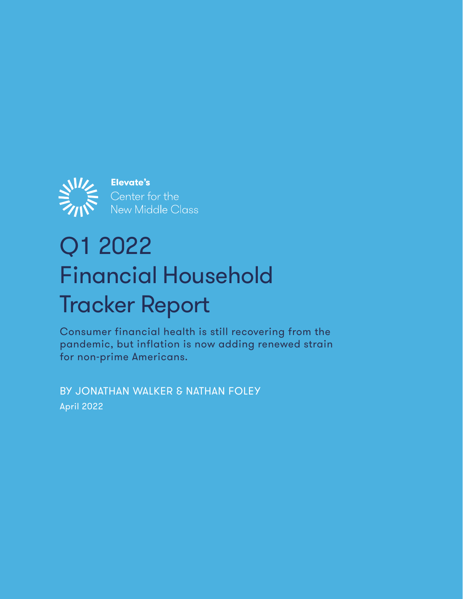

# Q1 2022 Financial Household Tracker Report

Consumer financial health is still recovering from the pandemic, but inflation is now adding renewed strain for non-prime Americans.

BY JONATHAN WALKER & NATHAN FOLEY April 2022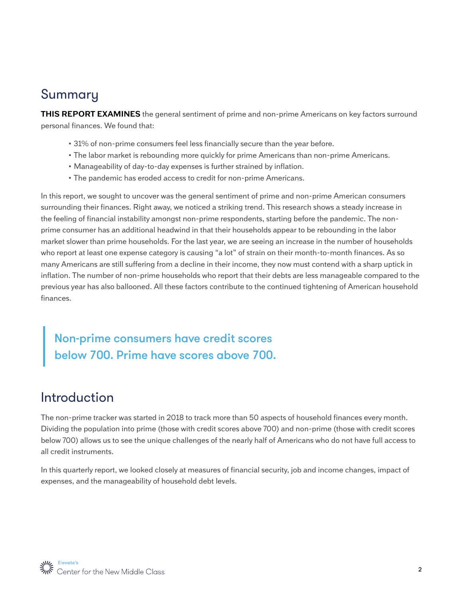# Summary

**THIS REPORT EXAMINES** the general sentiment of prime and non-prime Americans on key factors surround personal finances. We found that:

- 31% of non-prime consumers feel less financially secure than the year before.
- The labor market is rebounding more quickly for prime Americans than non-prime Americans.
- Manageability of day-to-day expenses is further strained by inflation.
- The pandemic has eroded access to credit for non-prime Americans.

In this report, we sought to uncover was the general sentiment of prime and non-prime American consumers surrounding their finances. Right away, we noticed a striking trend. This research shows a steady increase in the feeling of financial instability amongst non-prime respondents, starting before the pandemic. The nonprime consumer has an additional headwind in that their households appear to be rebounding in the labor market slower than prime households. For the last year, we are seeing an increase in the number of households who report at least one expense category is causing "a lot" of strain on their month-to-month finances. As so many Americans are still suffering from a decline in their income, they now must contend with a sharp uptick in inflation. The number of non-prime households who report that their debts are less manageable compared to the previous year has also ballooned. All these factors contribute to the continued tightening of American household finances.

Non-prime consumers have credit scores below 700. Prime have scores above 700.

# Introduction

The non-prime tracker was started in 2018 to track more than 50 aspects of household finances every month. Dividing the population into prime (those with credit scores above 700) and non-prime (those with credit scores below 700) allows us to see the unique challenges of the nearly half of Americans who do not have full access to all credit instruments.

In this quarterly report, we looked closely at measures of financial security, job and income changes, impact of expenses, and the manageability of household debt levels.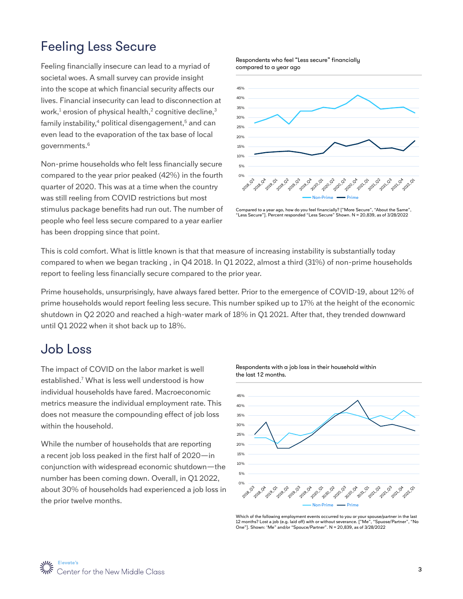# Feeling Less Secure

Feeling financially insecure can lead to a myriad of societal woes. A small survey can provide insight into the scope at which financial security affects our lives. Financial insecurity can lead to disconnection at work, $^1$  erosion of physical health, $^2$  cognitive decline, $^3$ family instability, $4$  political disengagement, $5$  and can even lead to the evaporation of the tax base of local governments.6

Non-prime households who felt less financially secure compared to the year prior peaked (42%) in the fourth quarter of 2020. This was at a time when the country was still reeling from COVID restrictions but most stimulus package benefits had run out. The number of people who feel less secure compared to a year earlier has been dropping since that point.

Respondents who feel "Less secure" financially compared to a year ago



Compared to a year ago, how do you feel financially? ["More Secure", "About the Same", "Less Secure"]. Percent responded "Less Secure" Shown. N = 20,839, as of 3/28/2022

This is cold comfort. What is little known is that that measure of increasing instability is substantially today compared to when we began tracking , in Q4 2018. In Q1 2022, almost a third (31%) of non-prime households report to feeling less financially secure compared to the prior year.

Prime households, unsurprisingly, have always fared better. Prior to the emergence of COVID-19, about 12% of prime households would report feeling less secure. This number spiked up to 17% at the height of the economic shutdown in Q2 2020 and reached a high-water mark of 18% in Q1 2021. After that, they trended downward until Q1 2022 when it shot back up to 18%.

### Job Loss

The impact of COVID on the labor market is well established.7 What is less well understood is how individual households have fared. Macroeconomic metrics measure the individual employment rate. This does not measure the compounding effect of job loss within the household.

While the number of households that are reporting a recent job loss peaked in the first half of 2020—in conjunction with widespread economic shutdown—the number has been coming down. Overall, in Q1 2022, about 30% of households had experienced a job loss in the prior twelve months.



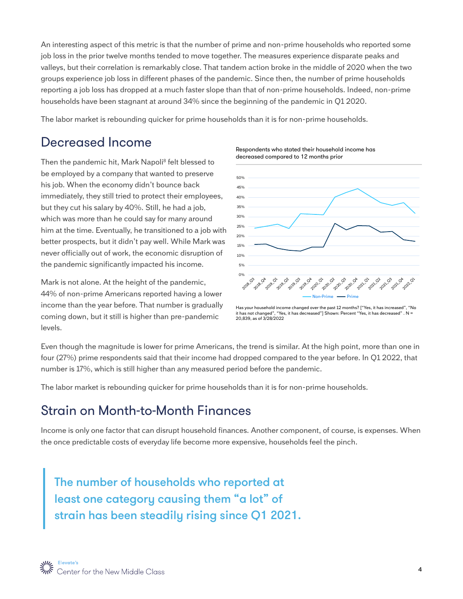An interesting aspect of this metric is that the number of prime and non-prime households who reported some job loss in the prior twelve months tended to move together. The measures experience disparate peaks and valleys, but their correlation is remarkably close. That tandem action broke in the middle of 2020 when the two groups experience job loss in different phases of the pandemic. Since then, the number of prime households reporting a job loss has dropped at a much faster slope than that of non-prime households. Indeed, non-prime households have been stagnant at around 34% since the beginning of the pandemic in Q1 2020.

The labor market is rebounding quicker for prime households than it is for non-prime households.

### Decreased Income

Then the pandemic hit, Mark Napoli<sup>8</sup> felt blessed to be employed by a company that wanted to preserve his job. When the economy didn't bounce back immediately, they still tried to protect their employees, but they cut his salary by 40%. Still, he had a job, which was more than he could say for many around him at the time. Eventually, he transitioned to a job with better prospects, but it didn't pay well. While Mark was never officially out of work, the economic disruption of the pandemic significantly impacted his income.

Mark is not alone. At the height of the pandemic, 44% of non-prime Americans reported having a lower income than the year before. That number is gradually coming down, but it still is higher than pre-pandemic levels.





Has your household income changed over the past 12 months? ["Yes, it has increased", "No it has not changed", "Yes, it has decreased"] Shown: Percent "Yes, it has decreased" . N = 20,839, as of 3/28/2022

Even though the magnitude is lower for prime Americans, the trend is similar. At the high point, more than one in four (27%) prime respondents said that their income had dropped compared to the year before. In Q1 2022, that number is 17%, which is still higher than any measured period before the pandemic.

The labor market is rebounding quicker for prime households than it is for non-prime households.

### Strain on Month-to-Month Finances

Income is only one factor that can disrupt household finances. Another component, of course, is expenses. When the once predictable costs of everyday life become more expensive, households feel the pinch.

The number of households who reported at least one category causing them "a lot" of strain has been steadily rising since Q1 2021.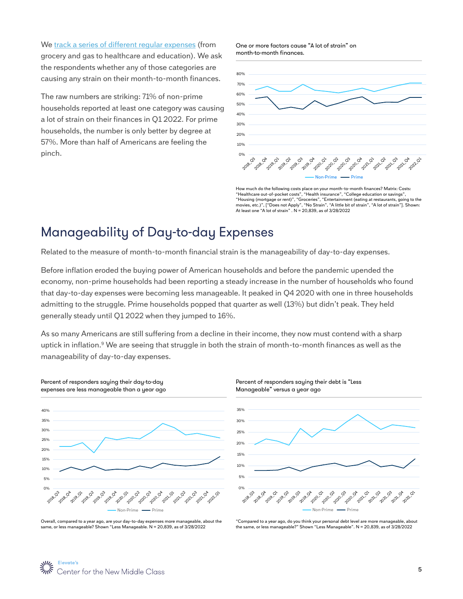We [track a series of different regular expenses](http://track a series of different regular expenses) (from grocery and gas to healthcare and education). We ask the respondents whether any of those categories are causing any strain on their month-to-month finances.

The raw numbers are striking: 71% of non-prime households reported at least one category was causing a lot of strain on their finances in Q1 2022. For prime households, the number is only better by degree at 57%. More than half of Americans are feeling the pinch.

One or more factors cause "A lot of strain" on month-to-month finances.



How much do the following costs place on your month-to-month finances? Matrix: Costs: "Healthcare out-of-pocket costs", "Health insurance", "College education or savings", "Housing (mortgage or rent)", "Groceries", "Entertainment (eating at restaurants, going to the movies, etc.)", ["Does not Apply", "No Strain", "A little bit of strain", "A lot of strain"]. Shown: At least one "A lot of strain" . N = 20,839, as of 3/28/2022

# Manageability of Day-to-day Expenses

Related to the measure of month-to-month financial strain is the manageability of day-to-day expenses.

Before inflation eroded the buying power of American households and before the pandemic upended the economy, non-prime households had been reporting a steady increase in the number of households who found that day-to-day expenses were becoming less manageable. It peaked in Q4 2020 with one in three households admitting to the struggle. Prime households popped that quarter as well (13%) but didn't peak. They held generally steady until Q1 2022 when they jumped to 16%.

As so many Americans are still suffering from a decline in their income, they now must contend with a sharp uptick in inflation.<sup>9</sup> We are seeing that struggle in both the strain of month-to-month finances as well as the manageability of day-to-day expenses.





Overall, compared to a year ago, are your day-to-day expenses more manageable, about the same, or less manageable? Shown "Less Manageable. N = 20,839, as of 3/28/2022

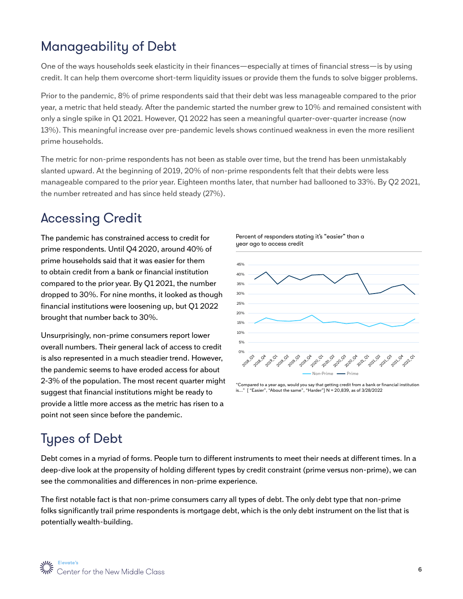# Manageability of Debt

One of the ways households seek elasticity in their finances—especially at times of financial stress—is by using credit. It can help them overcome short-term liquidity issues or provide them the funds to solve bigger problems.

Prior to the pandemic, 8% of prime respondents said that their debt was less manageable compared to the prior year, a metric that held steady. After the pandemic started the number grew to 10% and remained consistent with only a single spike in Q1 2021. However, Q1 2022 has seen a meaningful quarter-over-quarter increase (now 13%). This meaningful increase over pre-pandemic levels shows continued weakness in even the more resilient prime households.

The metric for non-prime respondents has not been as stable over time, but the trend has been unmistakably slanted upward. At the beginning of 2019, 20% of non-prime respondents felt that their debts were less manageable compared to the prior year. Eighteen months later, that number had ballooned to 33%. By Q2 2021, the number retreated and has since held steady (27%).

# Accessing Credit

The pandemic has constrained access to credit for prime respondents. Until Q4 2020, around 40% of prime households said that it was easier for them to obtain credit from a bank or financial institution compared to the prior year. By Q1 2021, the number dropped to 30%. For nine months, it looked as though financial institutions were loosening up, but Q1 2022 brought that number back to 30%.

Unsurprisingly, non-prime consumers report lower overall numbers. Their general lack of access to credit is also represented in a much steadier trend. However, the pandemic seems to have eroded access for about 2-3% of the population. The most recent quarter might suggest that financial institutions might be ready to provide a little more access as the metric has risen to a point not seen since before the pandemic.





<sup>&</sup>quot;Compared to a year ago, would you say that getting credit from a bank or financial institution is..." [ "Easier", "About the same", "Harder"] N = 20,839, as of 3/28/2022

# Types of Debt

Debt comes in a myriad of forms. People turn to different instruments to meet their needs at different times. In a deep-dive look at the propensity of holding different types by credit constraint (prime versus non-prime), we can see the commonalities and differences in non-prime experience.

The first notable fact is that non-prime consumers carry all types of debt. The only debt type that non-prime folks significantly trail prime respondents is mortgage debt, which is the only debt instrument on the list that is potentially wealth-building.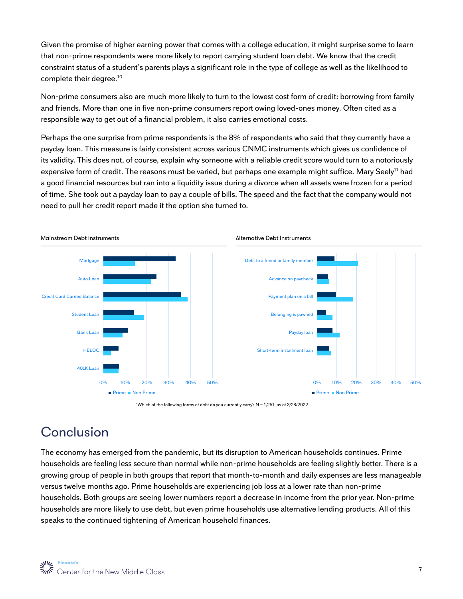Given the promise of higher earning power that comes with a college education, it might surprise some to learn that non-prime respondents were more likely to report carrying student loan debt. We know that the credit constraint status of a student's parents plays a significant role in the type of college as well as the likelihood to complete their degree.<sup>10</sup>

Non-prime consumers also are much more likely to turn to the lowest cost form of credit: borrowing from family and friends. More than one in five non-prime consumers report owing loved-ones money. Often cited as a responsible way to get out of a financial problem, it also carries emotional costs.

Perhaps the one surprise from prime respondents is the 8% of respondents who said that they currently have a payday loan. This measure is fairly consistent across various CNMC instruments which gives us confidence of its validity. This does not, of course, explain why someone with a reliable credit score would turn to a notoriously expensive form of credit. The reasons must be varied, but perhaps one example might suffice. Mary Seely<sup>11</sup> had a good financial resources but ran into a liquidity issue during a divorce when all assets were frozen for a period of time. She took out a payday loan to pay a couple of bills. The speed and the fact that the company would not need to pull her credit report made it the option she turned to.



<sup>&</sup>quot;Which of the following forms of debt do you currently carry? N = 1,251, as of 3/28/2022

# Conclusion

The economy has emerged from the pandemic, but its disruption to American households continues. Prime households are feeling less secure than normal while non-prime households are feeling slightly better. There is a growing group of people in both groups that report that month-to-month and daily expenses are less manageable versus twelve months ago. Prime households are experiencing job loss at a lower rate than non-prime households. Both groups are seeing lower numbers report a decrease in income from the prior year. Non-prime households are more likely to use debt, but even prime households use alternative lending products. All of this speaks to the continued tightening of American household finances.